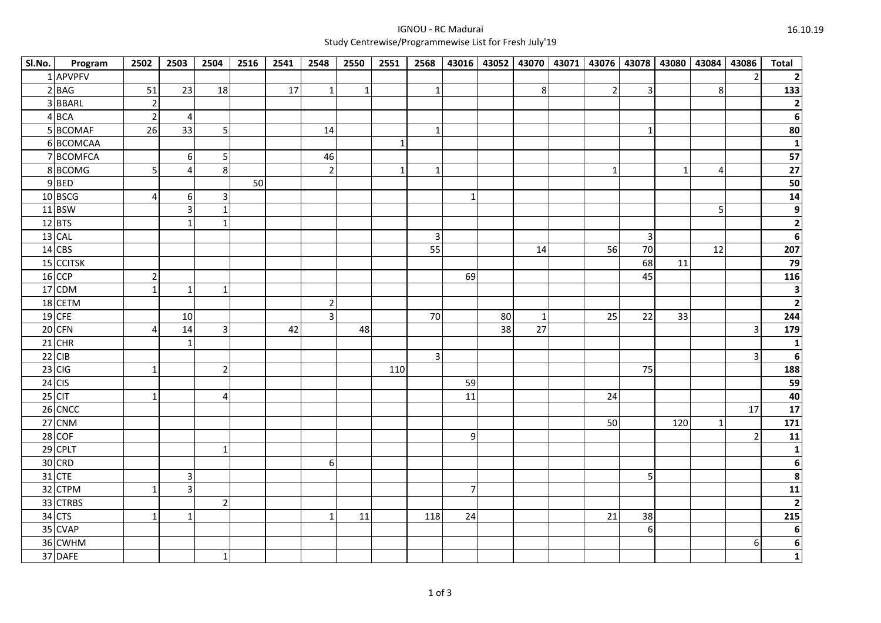## IGNOU - RC MaduraiStudy Centrewise/Programmewise List for Fresh July'19

| Sl.No. | Program   | 2502           | 2503             | 2504                    | 2516 | 2541 | 2548           | 2550         | 2551         | 2568         |                 |    |                 |                | 43016 43052 43070 43071 43076 43078 43080 43084 |              |                | 43086                   | <b>Total</b>            |
|--------|-----------|----------------|------------------|-------------------------|------|------|----------------|--------------|--------------|--------------|-----------------|----|-----------------|----------------|-------------------------------------------------|--------------|----------------|-------------------------|-------------------------|
|        | 1 APVPFV  |                |                  |                         |      |      |                |              |              |              |                 |    |                 |                |                                                 |              |                | $\overline{2}$          |                         |
|        | 2 BAG     | 51             | 23               | 18                      |      | 17   | $\mathbf{1}$   | $\mathbf{1}$ |              | $\mathbf{1}$ |                 |    | 8 <sup>1</sup>  | $\overline{2}$ | $\overline{\mathbf{3}}$                         |              | 8              |                         | 133                     |
|        | 3 BBARL   | $\overline{2}$ |                  |                         |      |      |                |              |              |              |                 |    |                 |                |                                                 |              |                |                         | $\mathbf 2$             |
|        | $4$ BCA   | $\overline{2}$ | $\overline{4}$   |                         |      |      |                |              |              |              |                 |    |                 |                |                                                 |              |                |                         | 6                       |
|        | 5 BCOMAF  | 26             | 33               | 5                       |      |      | 14             |              |              | $\mathbf{1}$ |                 |    |                 |                | $\mathbf 1$                                     |              |                |                         | 80                      |
|        | 6BCOMCAA  |                |                  |                         |      |      |                |              | $\mathbf{1}$ |              |                 |    |                 |                |                                                 |              |                |                         | $\mathbf{1}$            |
|        | 7 BCOMFCA |                | 6 <sup>1</sup>   | $\overline{\mathbf{5}}$ |      |      | 46             |              |              |              |                 |    |                 |                |                                                 |              |                |                         | 57                      |
|        | 8BCOMG    | $\overline{5}$ | $\overline{4}$   | $\,8\,$                 |      |      | $\overline{2}$ |              | $\mathbf 1$  | $\mathbf{1}$ |                 |    |                 | $\mathbf{1}$   |                                                 | $\mathbf{1}$ | $\overline{4}$ |                         | 27                      |
|        | $9$ BED   |                |                  |                         | 50   |      |                |              |              |              |                 |    |                 |                |                                                 |              |                |                         | 50                      |
|        | 10 BSCG   | $\overline{4}$ | $6 \overline{6}$ | $\mathsf 3$             |      |      |                |              |              |              | $\mathbf{1}$    |    |                 |                |                                                 |              |                |                         | $14$                    |
|        | 11 BSW    |                | 3 <sup>1</sup>   | $\mathbf 1$             |      |      |                |              |              |              |                 |    |                 |                |                                                 |              | 5              |                         | 9                       |
|        | $12$ BTS  |                | $1\vert$         | $\mathbf{1}$            |      |      |                |              |              |              |                 |    |                 |                |                                                 |              |                |                         | $\mathbf 2$             |
|        | $13$ CAL  |                |                  |                         |      |      |                |              |              | $\mathsf 3$  |                 |    |                 |                | $\ensuremath{\mathsf{3}}$                       |              |                |                         | 6                       |
|        | $14$ CBS  |                |                  |                         |      |      |                |              |              | 55           |                 |    | 14              | 56             | 70                                              |              | 12             |                         | 207                     |
|        | 15 CCITSK |                |                  |                         |      |      |                |              |              |              |                 |    |                 |                | 68                                              | 11           |                |                         | 79                      |
|        | $16$ CCP  | $\overline{2}$ |                  |                         |      |      |                |              |              |              | 69              |    |                 |                | 45                                              |              |                |                         | 116                     |
|        | $17$ CDM  | $\mathbf{1}$   | $\mathbf{1}$     | $\mathbf{1}$            |      |      |                |              |              |              |                 |    |                 |                |                                                 |              |                |                         | $\mathbf 3$             |
|        | 18 CETM   |                |                  |                         |      |      | $\overline{2}$ |              |              |              |                 |    |                 |                |                                                 |              |                |                         | $\overline{\mathbf{c}}$ |
|        | $19$ CFE  |                | 10               |                         |      |      | $\overline{3}$ |              |              | 70           |                 | 80 | 1               | 25             | 22                                              | 33           |                |                         | 244                     |
|        | $20$ CFN  | $\overline{4}$ | 14               | $\overline{3}$          |      | 42   |                | 48           |              |              |                 | 38 | $\overline{27}$ |                |                                                 |              |                | $\overline{\mathbf{3}}$ | 179                     |
|        | $21$ CHR  |                | $\mathbf{1}$     |                         |      |      |                |              |              |              |                 |    |                 |                |                                                 |              |                |                         | $\mathbf{1}$            |
|        | $22$ CIB  |                |                  |                         |      |      |                |              |              | 3            |                 |    |                 |                |                                                 |              |                | $\overline{\mathbf{3}}$ | 6                       |
|        | $23$ CIG  | $\mathbf 1$    |                  | $\overline{2}$          |      |      |                |              | 110          |              |                 |    |                 |                | 75                                              |              |                |                         | 188                     |
|        | $24$ CIS  |                |                  |                         |      |      |                |              |              |              | 59              |    |                 |                |                                                 |              |                |                         | 59                      |
|        | $25$ CIT  | $\mathbf{1}$   |                  | 4                       |      |      |                |              |              |              | $\overline{11}$ |    |                 | 24             |                                                 |              |                |                         | 40                      |
|        | 26 CNCC   |                |                  |                         |      |      |                |              |              |              |                 |    |                 |                |                                                 |              |                | 17                      | 17                      |
|        | 27 CNM    |                |                  |                         |      |      |                |              |              |              |                 |    |                 | 50             |                                                 | 120          |                |                         | 171                     |
|        | $28$ COF  |                |                  |                         |      |      |                |              |              |              | $\overline{9}$  |    |                 |                |                                                 |              |                | $\overline{2}$          | 11                      |
|        | $29$ CPLT |                |                  | $\mathbf{1}$            |      |      |                |              |              |              |                 |    |                 |                |                                                 |              |                |                         | $\mathbf 1$             |
|        | 30 CRD    |                |                  |                         |      |      | 6              |              |              |              |                 |    |                 |                |                                                 |              |                |                         | 6                       |
|        | $31$ CTE  |                | 3                |                         |      |      |                |              |              |              |                 |    |                 |                | 5                                               |              |                |                         | 8                       |
|        | 32 CTPM   | $1\vert$       | $\overline{3}$   |                         |      |      |                |              |              |              | $\overline{7}$  |    |                 |                |                                                 |              |                |                         | 11                      |
|        | 33 CTRBS  |                |                  | $\overline{2}$          |      |      |                |              |              |              |                 |    |                 |                |                                                 |              |                |                         | $\overline{\mathbf{2}}$ |
|        | $34$ CTS  | $\mathbf{1}$   | $1\vert$         |                         |      |      | $\mathbf{1}$   | 11           |              | 118          | 24              |    |                 | 21             | 38                                              |              |                |                         | 215                     |
|        | 35 CVAP   |                |                  |                         |      |      |                |              |              |              |                 |    |                 |                | $\boldsymbol{6}$                                |              |                |                         | $\boldsymbol{6}$        |
|        | 36 CWHM   |                |                  |                         |      |      |                |              |              |              |                 |    |                 |                |                                                 |              |                | $\boldsymbol{6}$        | $\bf 6$                 |
|        | 37 DAFE   |                |                  | $\mathbf 1$             |      |      |                |              |              |              |                 |    |                 |                |                                                 |              |                |                         | $\mathbf{1}$            |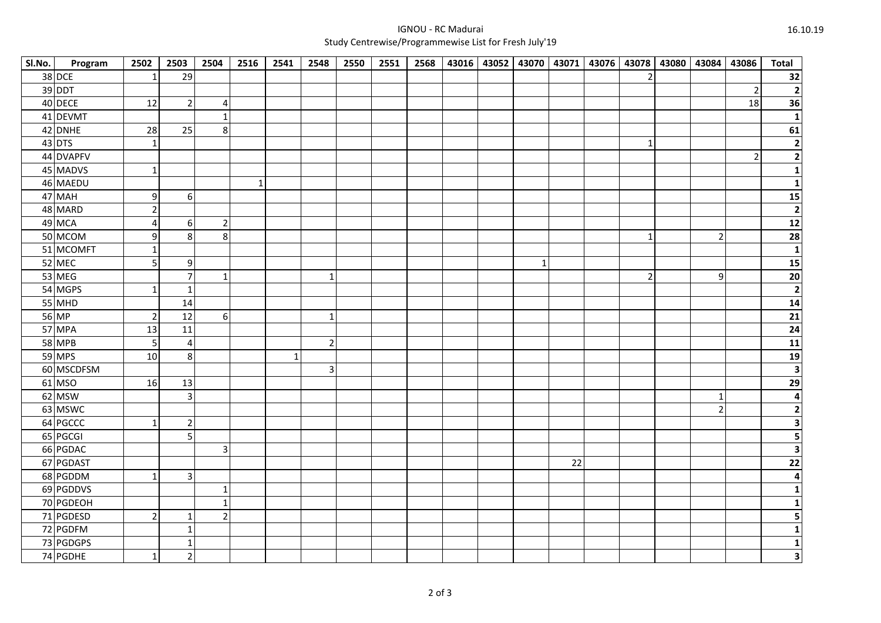## IGNOU - RC MaduraiStudy Centrewise/Programmewise List for Fresh July'19

| Sl.No. | Program       | 2502             | 2503           | 2504           | 2516         | 2541        | 2548           | 2550 | 2551 | 2568 |  |   |    |                | 43016 43052 43070 43071 43076 43078 43080 43084 43086 |                |                | <b>Total</b>                                               |
|--------|---------------|------------------|----------------|----------------|--------------|-------------|----------------|------|------|------|--|---|----|----------------|-------------------------------------------------------|----------------|----------------|------------------------------------------------------------|
|        | $38$ DCE      | $\mathbf{1}$     | 29             |                |              |             |                |      |      |      |  |   |    |                |                                                       |                |                | 32                                                         |
|        | 39 DDT        |                  |                |                |              |             |                |      |      |      |  |   |    |                |                                                       |                | $\overline{2}$ | $\overline{2}$                                             |
|        | 40 DECE       | 12               | $\overline{2}$ | $\overline{4}$ |              |             |                |      |      |      |  |   |    |                |                                                       |                | 18             | 36                                                         |
|        | 41 DEVMT      |                  |                | $\mathbf{1}$   |              |             |                |      |      |      |  |   |    |                |                                                       |                |                | $1\vert$                                                   |
|        | 42 DNHE       | 28               | 25             | $\,8\,$        |              |             |                |      |      |      |  |   |    |                |                                                       |                |                | 61                                                         |
|        | $43$ DTS      | $\mathbf{1}$     |                |                |              |             |                |      |      |      |  |   |    | $\mathbf{1}$   |                                                       |                |                | $\overline{2}$                                             |
|        | 44 DVAPFV     |                  |                |                |              |             |                |      |      |      |  |   |    |                |                                                       |                | $\overline{2}$ | $\overline{2}$                                             |
|        | 45 MADVS      | $\mathbf{1}$     |                |                |              |             |                |      |      |      |  |   |    |                |                                                       |                |                | $\overline{\mathbf{1}}$                                    |
|        | 46 MAEDU      |                  |                |                | $\mathbf{1}$ |             |                |      |      |      |  |   |    |                |                                                       |                |                | $\mathbf{1}$                                               |
|        | 47 MAH        | $\boldsymbol{9}$ | 6              |                |              |             |                |      |      |      |  |   |    |                |                                                       |                |                | 15                                                         |
|        | 48 MARD       | $\overline{2}$   |                |                |              |             |                |      |      |      |  |   |    |                |                                                       |                |                | $\overline{2}$                                             |
|        | 49 MCA        | 4                | $6 \mid$       | $\overline{2}$ |              |             |                |      |      |      |  |   |    |                |                                                       |                |                | $\overline{12}$                                            |
|        | 50 MCOM       | $\boldsymbol{9}$ | 8 <sup>1</sup> | 8              |              |             |                |      |      |      |  |   |    | $\mathbf 1$    |                                                       | $\overline{2}$ |                | $\begin{array}{c c}\n\hline\n28 \\ \hline\n1\n\end{array}$ |
|        | 51 MCOMFT     | $\mathbf{1}$     |                |                |              |             |                |      |      |      |  |   |    |                |                                                       |                |                |                                                            |
|        | 52 MEC        | 5                | 9              |                |              |             |                |      |      |      |  | 1 |    |                |                                                       |                |                | $\overline{15}$                                            |
|        | $53$ MEG      |                  | $\overline{7}$ | $\mathbf 1$    |              |             | -1             |      |      |      |  |   |    | $\overline{2}$ |                                                       | 9              |                | $\overline{20}$                                            |
|        | 54 MGPS       | 1                | $\mathbf{1}$   |                |              |             |                |      |      |      |  |   |    |                |                                                       |                |                | $\overline{2}$                                             |
|        | 55 MHD        |                  | 14             |                |              |             |                |      |      |      |  |   |    |                |                                                       |                |                | 14                                                         |
|        | 56 MP         | $\overline{2}$   | 12             | 6              |              |             | 1              |      |      |      |  |   |    |                |                                                       |                |                | $\overline{21}$                                            |
|        | 57 MPA        | 13               | 11             |                |              |             |                |      |      |      |  |   |    |                |                                                       |                |                | $\overline{24}$                                            |
|        | <b>58 MPB</b> | 5                | $\overline{a}$ |                |              |             | $\overline{2}$ |      |      |      |  |   |    |                |                                                       |                |                | $\boxed{11}$                                               |
|        | 59 MPS        | 10               | 8 <sup>1</sup> |                |              | $\mathbf 1$ |                |      |      |      |  |   |    |                |                                                       |                |                | <u>19</u>                                                  |
|        | 60 MSCDFSM    |                  |                |                |              |             | $\overline{3}$ |      |      |      |  |   |    |                |                                                       |                |                | $\overline{\mathbf{3}}$                                    |
|        | 61 MSO        | 16               | $13\,$         |                |              |             |                |      |      |      |  |   |    |                |                                                       |                |                | $\overline{29}$                                            |
|        | 62 MSW        |                  | $\overline{3}$ |                |              |             |                |      |      |      |  |   |    |                |                                                       | $\mathbf 1$    |                | $\overline{4}$                                             |
|        | 63 MSWC       |                  |                |                |              |             |                |      |      |      |  |   |    |                |                                                       | $\overline{2}$ |                | $\overline{2}$                                             |
|        | 64 PGCCC      | $\mathbf 1$      | $\overline{2}$ |                |              |             |                |      |      |      |  |   |    |                |                                                       |                |                | 3                                                          |
|        | 65 PGCGI      |                  | 5 <sup>1</sup> |                |              |             |                |      |      |      |  |   |    |                |                                                       |                |                | 5                                                          |
|        | 66 PGDAC      |                  |                | $\overline{3}$ |              |             |                |      |      |      |  |   |    |                |                                                       |                |                | 3                                                          |
|        | 67 PGDAST     |                  |                |                |              |             |                |      |      |      |  |   | 22 |                |                                                       |                |                | 22                                                         |
|        | 68 PGDDM      | $\mathbf 1$      | 3 <sup>l</sup> |                |              |             |                |      |      |      |  |   |    |                |                                                       |                |                | 4                                                          |
|        | 69 PGDDVS     |                  |                | $\mathbf{1}$   |              |             |                |      |      |      |  |   |    |                |                                                       |                |                | $\mathbf{1}$                                               |
|        | 70 PGDEOH     |                  |                | $\mathbf{1}$   |              |             |                |      |      |      |  |   |    |                |                                                       |                |                |                                                            |
|        | 71 PGDESD     | $\overline{2}$   | $\mathbf{1}$   | $\overline{2}$ |              |             |                |      |      |      |  |   |    |                |                                                       |                |                | 5                                                          |
|        | 72 PGDFM      |                  | $\mathbf 1$    |                |              |             |                |      |      |      |  |   |    |                |                                                       |                |                | 1                                                          |
|        | 73 PGDGPS     |                  | $\mathbf{1}$   |                |              |             |                |      |      |      |  |   |    |                |                                                       |                |                | 1                                                          |
|        | 74 PGDHE      | $\mathbf{1}$     | $\overline{2}$ |                |              |             |                |      |      |      |  |   |    |                |                                                       |                |                | 3                                                          |